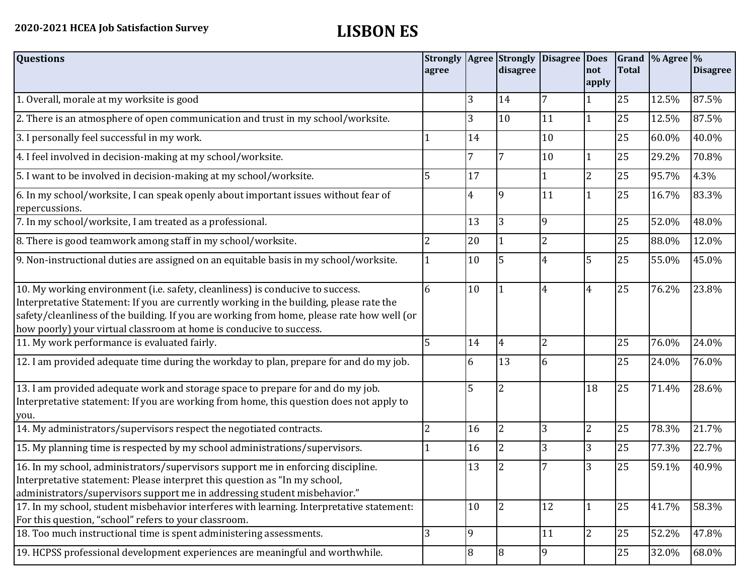| <b>Questions</b>                                                                                                                                                                                                                                                                                                                               | agree |                | <b>Strongly   Agree   Strongly</b><br>disagree | Disagree Does  | Inot<br>apply  | <b>Total</b> | Grand $\frac{9}{6}$ Agree $\frac{9}{6}$ | <b>Disagree</b> |
|------------------------------------------------------------------------------------------------------------------------------------------------------------------------------------------------------------------------------------------------------------------------------------------------------------------------------------------------|-------|----------------|------------------------------------------------|----------------|----------------|--------------|-----------------------------------------|-----------------|
| 1. Overall, morale at my worksite is good                                                                                                                                                                                                                                                                                                      |       | 3              | 14                                             | 7              |                | 25           | 12.5%                                   | 87.5%           |
| 2. There is an atmosphere of open communication and trust in my school/worksite.                                                                                                                                                                                                                                                               |       | 3              | 10                                             | 11             | 1              | 25           | 12.5%                                   | 87.5%           |
| 3. I personally feel successful in my work.                                                                                                                                                                                                                                                                                                    |       | 14             |                                                | 10             |                | 25           | 60.0%                                   | 40.0%           |
| 4. I feel involved in decision-making at my school/worksite.                                                                                                                                                                                                                                                                                   |       | 7              | 7                                              | 10             |                | 25           | 29.2%                                   | 70.8%           |
| 5. I want to be involved in decision-making at my school/worksite.                                                                                                                                                                                                                                                                             | 5     | 17             |                                                |                | $\overline{2}$ | 25           | 95.7%                                   | 4.3%            |
| 6. In my school/worksite, I can speak openly about important issues without fear of<br>repercussions.                                                                                                                                                                                                                                          |       | 4              | $\mathbf{q}$                                   | 11             |                | 25           | 16.7%                                   | 83.3%           |
| 7. In my school/worksite, I am treated as a professional.                                                                                                                                                                                                                                                                                      |       | 13             | 3                                              | $\overline{9}$ |                | 25           | 52.0%                                   | 48.0%           |
| 8. There is good teamwork among staff in my school/worksite.                                                                                                                                                                                                                                                                                   |       | 20             |                                                | $\overline{2}$ |                | 25           | 88.0%                                   | 12.0%           |
| 9. Non-instructional duties are assigned on an equitable basis in my school/worksite.                                                                                                                                                                                                                                                          |       | 10             | 5                                              | $\overline{4}$ | 5              | 25           | 55.0%                                   | 45.0%           |
| 10. My working environment (i.e. safety, cleanliness) is conducive to success.<br>Interpretative Statement: If you are currently working in the building, please rate the<br>safety/cleanliness of the building. If you are working from home, please rate how well (or<br>how poorly) your virtual classroom at home is conducive to success. | 6     | 10             |                                                | $\overline{4}$ | $\overline{4}$ | 25           | 76.2%                                   | 23.8%           |
| 11. My work performance is evaluated fairly.                                                                                                                                                                                                                                                                                                   | 5     | 14             | 4                                              | $\overline{c}$ |                | 25           | 76.0%                                   | 24.0%           |
| 12. I am provided adequate time during the workday to plan, prepare for and do my job.                                                                                                                                                                                                                                                         |       | 6              | 13                                             | 6              |                | 25           | 24.0%                                   | 76.0%           |
| 13. I am provided adequate work and storage space to prepare for and do my job.<br>Interpretative statement: If you are working from home, this question does not apply to<br>you.                                                                                                                                                             |       | 5              | $\overline{2}$                                 |                | 18             | 25           | 71.4%                                   | 28.6%           |
| 14. My administrators/supervisors respect the negotiated contracts.                                                                                                                                                                                                                                                                            | 2     | 16             | $\overline{2}$                                 | 3              | $\overline{2}$ | 25           | 78.3%                                   | 21.7%           |
| 15. My planning time is respected by my school administrations/supervisors.                                                                                                                                                                                                                                                                    |       | 16             | $\overline{2}$                                 | 3              | 3              | 25           | 77.3%                                   | 22.7%           |
| 16. In my school, administrators/supervisors support me in enforcing discipline.<br>Interpretative statement: Please interpret this question as "In my school,<br>administrators/supervisors support me in addressing student misbehavior."                                                                                                    |       | 13             | 2                                              | 7              | 3              | 25           | 59.1%                                   | 40.9%           |
| 17. In my school, student misbehavior interferes with learning. Interpretative statement:<br>For this question, "school" refers to your classroom.                                                                                                                                                                                             |       | 10             | $\overline{2}$                                 | 12             |                | 25           | 41.7%                                   | 58.3%           |
| 18. Too much instructional time is spent administering assessments.                                                                                                                                                                                                                                                                            | 3     | 9              |                                                | 11             | $\overline{2}$ | 25           | 52.2%                                   | 47.8%           |
| 19. HCPSS professional development experiences are meaningful and worthwhile.                                                                                                                                                                                                                                                                  |       | $\overline{8}$ | 8                                              | 9              |                | 25           | 32.0%                                   | 68.0%           |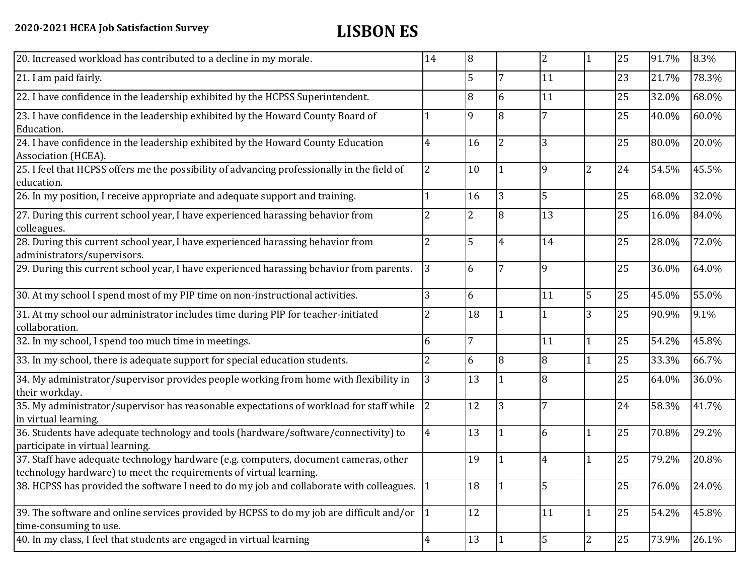| 20. Increased workload has contributed to a decline in my morale.                                                                                          | 14             | $\overline{8}$ |                | 2              |                | 25 | 91.7% | 8.3%  |
|------------------------------------------------------------------------------------------------------------------------------------------------------------|----------------|----------------|----------------|----------------|----------------|----|-------|-------|
| 21. I am paid fairly.                                                                                                                                      |                | 5              | 7              | 11             |                | 23 | 21.7% | 78.3% |
| 22. I have confidence in the leadership exhibited by the HCPSS Superintendent.                                                                             |                | 8              | 6              | 11             |                | 25 | 32.0% | 68.0% |
| 23. I have confidence in the leadership exhibited by the Howard County Board of<br>Education.                                                              |                | 9              | 8              |                |                | 25 | 40.0% | 60.0% |
| 24. I have confidence in the leadership exhibited by the Howard County Education<br>Association (HCEA).                                                    | 4              | 16             | $\overline{2}$ | 3              |                | 25 | 80.0% | 20.0% |
| 25. I feel that HCPSS offers me the possibility of advancing professionally in the field of<br>education.                                                  | 2              | 10             |                | 9              | 2              | 24 | 54.5% | 45.5% |
| 26. In my position, I receive appropriate and adequate support and training.                                                                               |                | 16             | 3              | 5              |                | 25 | 68.0% | 32.0% |
| 27. During this current school year, I have experienced harassing behavior from<br>colleagues.                                                             |                | $\overline{2}$ | 8              | 13             |                | 25 | 16.0% | 84.0% |
| 28. During this current school year, I have experienced harassing behavior from<br>administrators/supervisors.                                             | 2              | 5              | 4              | 14             |                | 25 | 28.0% | 72.0% |
| 29. During this current school year, I have experienced harassing behavior from parents.                                                                   | 3              | 6              | 7              | 9              |                | 25 | 36.0% | 64.0% |
| 30. At my school I spend most of my PIP time on non-instructional activities.                                                                              | 3              | 6              |                | 11             | 5              | 25 | 45.0% | 55.0% |
| 31. At my school our administrator includes time during PIP for teacher-initiated<br>collaboration.                                                        | 2              | 18             |                |                | 3              | 25 | 90.9% | 9.1%  |
| 32. In my school, I spend too much time in meetings.                                                                                                       | 6              | $\overline{7}$ |                | 11             | 1              | 25 | 54.2% | 45.8% |
| 33. In my school, there is adequate support for special education students.                                                                                | $\overline{2}$ | 6              | 8              | 8              |                | 25 | 33.3% | 66.7% |
| 34. My administrator/supervisor provides people working from home with flexibility in<br>their workday.                                                    | 3              | 13             |                | 8              |                | 25 | 64.0% | 36.0% |
| 35. My administrator/supervisor has reasonable expectations of workload for staff while<br>in virtual learning.                                            | $\overline{2}$ | 12             | 3              | $\overline{7}$ |                | 24 | 58.3% | 41.7% |
| 36. Students have adequate technology and tools (hardware/software/connectivity) to<br>participate in virtual learning.                                    | $\overline{4}$ | 13             |                | 6              |                | 25 | 70.8% | 29.2% |
| 37. Staff have adequate technology hardware (e.g. computers, document cameras, other<br>technology hardware) to meet the requirements of virtual learning. |                | 19             |                | $\overline{4}$ |                | 25 | 79.2% | 20.8% |
| 38. HCPSS has provided the software I need to do my job and collaborate with colleagues.                                                                   |                | 18             |                | 5              |                | 25 | 76.0% | 24.0% |
| 39. The software and online services provided by HCPSS to do my job are difficult and/or $\left  \right $ 1<br>time-consuming to use.                      |                | 12             |                | 11             |                | 25 | 54.2% | 45.8% |
| 40. In my class, I feel that students are engaged in virtual learning                                                                                      | 4              | 13             |                | 5              | $\overline{2}$ | 25 | 73.9% | 26.1% |